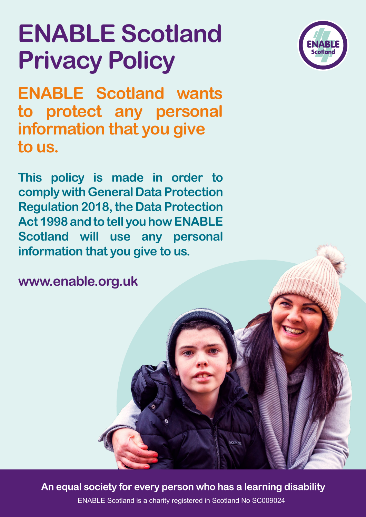# **ENABLE Scotland Privacy Policy**

**ENABLE Scotland wants to protect any personal information that you give to us.**

**This policy is made in order to comply with General Data Protection Regulation 2018, the Data Protection Act 1998 and to tell you how ENABLE Scotland will use any personal information that you give to us.**

**www.enable.org.uk**

**An equal society for every person who has a learning disability**

**MCMENTE** 

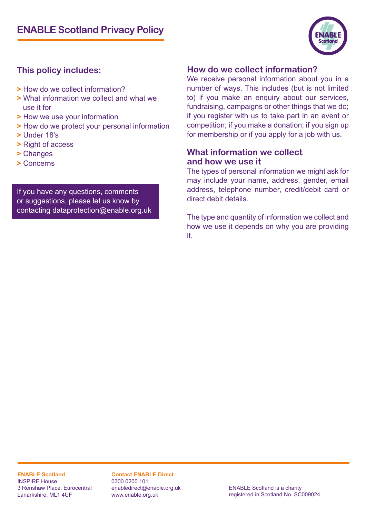

### **This policy includes:**

- **>** How do we collect information?
- **>** What information we collect and what we use it for
- **>** How we use your information
- **>** How do we protect your personal information
- **>** Under 18's
- **>** Right of access
- **>** Changes
- **>** Concerns

If you have any questions, comments or suggestions, please let us know by contacting dataprotection@enable.org.uk

#### **How do we collect information?**

We receive personal information about you in a number of ways. This includes (but is not limited to) if you make an enquiry about our services, fundraising, campaigns or other things that we do; if you register with us to take part in an event or competition; if you make a donation; if you sign up for membership or if you apply for a job with us.

#### **What information we collect and how we use it**

The types of personal information we might ask for may include your name, address, gender, email address, telephone number, credit/debit card or direct debit details.

The type and quantity of information we collect and how we use it depends on why you are providing it.

**ENABLE Scotland** INSPIRE House 3 Renshaw Place, Eurocentral Lanarkshire, ML1 4UF

**Contact ENABLE Direct** 0300 0200 101 enabledirect@enable.org.uk www.enable.org.uk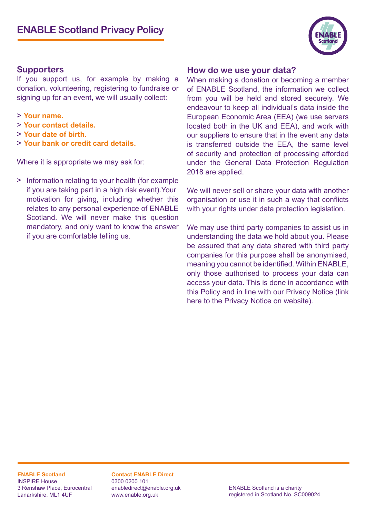#### **Supporters**

If you support us, for example by making a donation, volunteering, registering to fundraise or signing up for an event, we will usually collect:

- > **Your name.**
- > **Your contact details.**
- > **Your date of birth.**
- > **Your bank or credit card details.**

Where it is appropriate we may ask for:

> Information relating to your health (for example if you are taking part in a high risk event).Your motivation for giving, including whether this relates to any personal experience of ENABLE Scotland. We will never make this question mandatory, and only want to know the answer if you are comfortable telling us.

#### **How do we use your data?**

When making a donation or becoming a member of ENABLE Scotland, the information we collect from you will be held and stored securely. We endeavour to keep all individual's data inside the European Economic Area (EEA) (we use servers located both in the UK and EEA), and work with our suppliers to ensure that in the event any data is transferred outside the EEA, the same level of security and protection of processing afforded under the General Data Protection Regulation 2018 are applied.

We will never sell or share your data with another organisation or use it in such a way that conflicts with your rights under data protection legislation.

We may use third party companies to assist us in understanding the data we hold about you. Please be assured that any data shared with third party companies for this purpose shall be anonymised, meaning you cannot be identified. Within ENABLE, only those authorised to process your data can access your data. This is done in accordance with this Policy and in line with our Privacy Notice (link here to the Privacy Notice on website).

**ENABLE Scotland** INSPIRE House 3 Renshaw Place, Eurocentral Lanarkshire, ML1 4UF

**Contact ENABLE Direct** 0300 0200 101 enabledirect@enable.org.uk www.enable.org.uk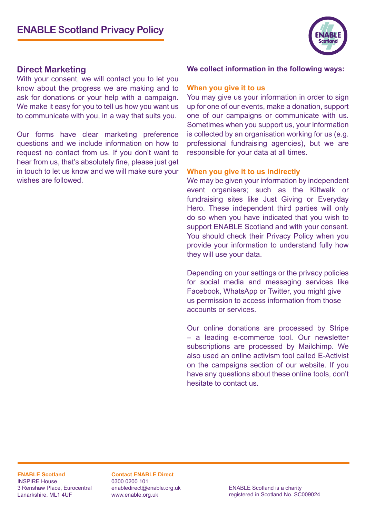

#### **Direct Marketing**

With your consent, we will contact you to let you know about the progress we are making and to ask for donations or your help with a campaign. We make it easy for you to tell us how you want us to communicate with you, in a way that suits you.

Our forms have clear marketing preference questions and we include information on how to request no contact from us. If you don't want to hear from us, that's absolutely fine, please just get in touch to let us know and we will make sure your wishes are followed.

#### **We collect information in the following ways:**

#### **When you give it to us**

You may give us your information in order to sign up for one of our events, make a donation, support one of our campaigns or communicate with us. Sometimes when you support us, your information is collected by an organisation working for us (e.g. professional fundraising agencies), but we are responsible for your data at all times.

#### **When you give it to us indirectly**

We may be given your information by independent event organisers; such as the Kiltwalk or fundraising sites like Just Giving or Everyday Hero. These independent third parties will only do so when you have indicated that you wish to support ENABLE Scotland and with your consent. You should check their Privacy Policy when you provide your information to understand fully how they will use your data.

Depending on your settings or the privacy policies for social media and messaging services like Facebook, WhatsApp or Twitter, you might give us permission to access information from those accounts or services.

Our online donations are processed by Stripe – a leading e-commerce tool. Our newsletter subscriptions are processed by Mailchimp. We also used an online activism tool called E-Activist on the campaigns section of our website. If you have any questions about these online tools, don't hesitate to contact us.

**ENABLE Scotland** INSPIRE House 3 Renshaw Place, Eurocentral Lanarkshire, ML1 4UF

**Contact ENABLE Direct** 0300 0200 101 enabledirect@enable.org.uk www.enable.org.uk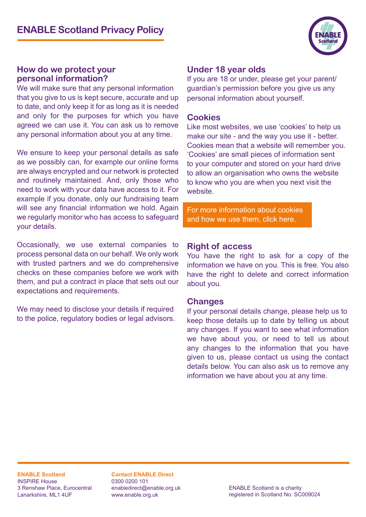

#### **How do we protect your personal information?**

We will make sure that any personal information that you give to us is kept secure, accurate and up to date, and only keep it for as long as it is needed and only for the purposes for which you have agreed we can use it. You can ask us to remove any personal information about you at any time.

We ensure to keep your personal details as safe as we possibly can, for example our online forms are always encrypted and our network is protected and routinely maintained. And, only those who need to work with your data have access to it. For example if you donate, only our fundraising team will see any financial information we hold. Again we regularly monitor who has access to safeguard your details.

Occasionally, we use external companies to process personal data on our behalf. We only work with trusted partners and we do comprehensive checks on these companies before we work with them, and put a contract in place that sets out our expectations and requirements.

We may need to disclose your details if required to the police, regulatory bodies or legal advisors.

#### **Under 18 year olds**

If you are 18 or under, please get your parent/ guardian's permission before you give us any personal information about yourself.

#### **Cookies**

Like most websites, we use 'cookies' to help us make our site - and the way you use it - better. Cookies mean that a website will remember you. 'Cookies' are small pieces of information sent to your computer and stored on your hard drive to allow an organisation who owns the website to know who you are when you next visit the website.

[For more information about cookies](https://www.enable.org.uk/cookies/ )  [and how we use them, click here.](https://www.enable.org.uk/cookies/ )

#### **Right of access**

You have the right to ask for a copy of the information we have on you. This is free. You also have the right to delete and correct information about you.

#### **Changes**

If your personal details change, please help us to keep those details up to date by telling us about any changes. If you want to see what information we have about you, or need to tell us about any changes to the information that you have given to us, please contact us using the contact details below. You can also ask us to remove any information we have about you at any time.

**ENABLE Scotland** INSPIRE House 3 Renshaw Place, Eurocentral Lanarkshire, ML1 4UF

**Contact ENABLE Direct** 0300 0200 101 enabledirect@enable.org.uk www.enable.org.uk